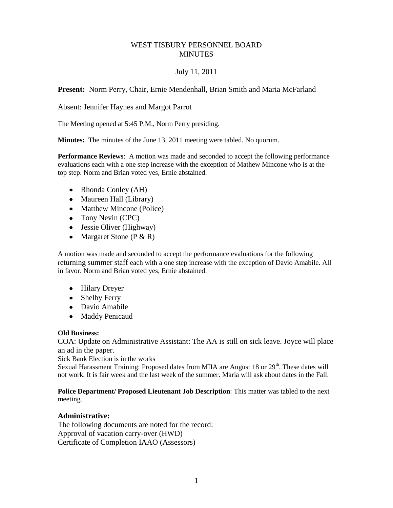## WEST TISBURY PERSONNEL BOARD **MINUTES**

## July 11, 2011

**Present:** Norm Perry, Chair, Ernie Mendenhall, Brian Smith and Maria McFarland

Absent: Jennifer Haynes and Margot Parrot

The Meeting opened at 5:45 P.M., Norm Perry presiding.

**Minutes:** The minutes of the June 13, 2011 meeting were tabled. No quorum.

**Performance Reviews**: A motion was made and seconded to accept the following performance evaluations each with a one step increase with the exception of Mathew Mincone who is at the top step. Norm and Brian voted yes, Ernie abstained.

- Rhonda Conley (AH)
- Maureen Hall (Library)
- Matthew Mincone (Police)
- Tony Nevin (CPC)
- Jessie Oliver (Highway)
- Margaret Stone ( $P & R$ )

A motion was made and seconded to accept the performance evaluations for the following returning summer staff each with a one step increase with the exception of Davio Amabile. All in favor. Norm and Brian voted yes, Ernie abstained.

- Hilary Dreyer
- Shelby Ferry
- Davio Amabile
- Maddy Penicaud

## **Old Business:**

COA: Update on Administrative Assistant: The AA is still on sick leave. Joyce will place an ad in the paper.

Sick Bank Election is in the works

Sexual Harassment Training: Proposed dates from MIIA are August 18 or  $29<sup>th</sup>$ . These dates will not work. It is fair week and the last week of the summer. Maria will ask about dates in the Fall.

**Police Department/ Proposed Lieutenant Job Description**: This matter was tabled to the next meeting.

## **Administrative:**

The following documents are noted for the record: Approval of vacation carry-over (HWD) Certificate of Completion IAAO (Assessors)